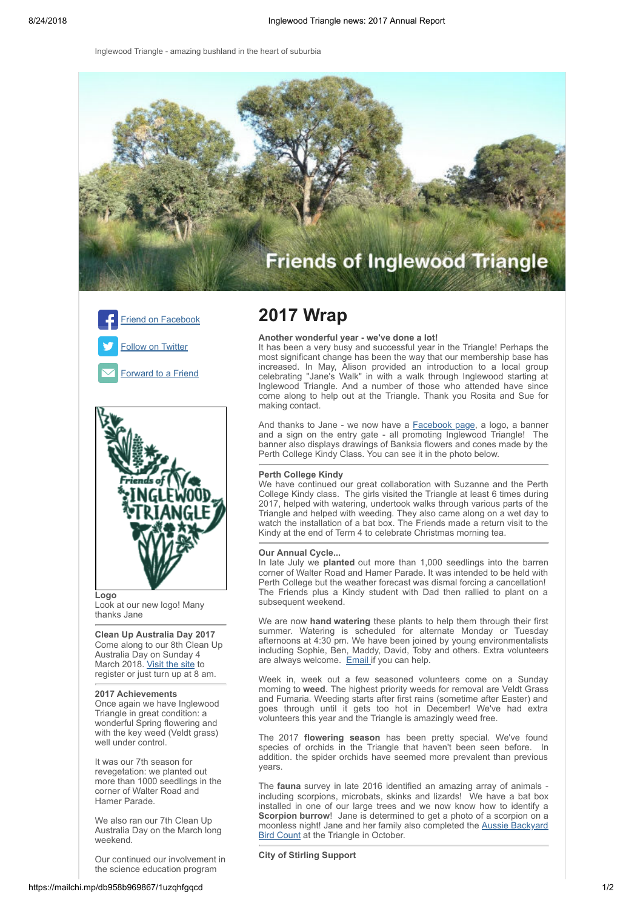Inglewood Triangle - amazing bushland in the heart of suburbia







Look at our new logo! Many thanks Jane

**Clean Up Australia Day 2017**  Come along to our 8th Clean Up Australia Day on Sunday 4 March 2018. [Visit the site](http://www.cleanupaustraliaday.org.au/Inglewood+Triangle) to register or just turn up at 8 am.

## **2017 Achievements**

Once again we have Inglewood Triangle in great condition: a wonderful Spring flowering and with the key weed (Veldt grass) well under control.

It was our 7th season for revegetation: we planted out more than 1000 seedlings in the corner of Walter Road and Hamer Parade.

We also ran our 7th Clean Up Australia Day on the March long weekend.

Our continued our involvement in the science education program

# **2017 Wrap**

## **Another wonderful year - we've done a lot!**

It has been a very busy and successful year in the Triangle! Perhaps the most significant change has been the way that our membership base has increased. In May, Alison provided an introduction to a local group celebrating "Jane's Walk" in with a walk through Inglewood starting at Inglewood Triangle. And a number of those who attended have since come along to help out at the Triangle. Thank you Rosita and Sue for making contact.

And thanks to Jane - we now have a **Facebook page**, a logo, a banner and a sign on the entry gate - all promoting Inglewood Triangle! The banner also displays drawings of Banksia flowers and cones made by the Perth College Kindy Class. You can see it in the photo below.

#### **Perth College Kindy**

We have continued our great collaboration with Suzanne and the Perth College Kindy class. The girls visited the Triangle at least 6 times during 2017, helped with watering, undertook walks through various parts of the Triangle and helped with weeding. They also came along on a wet day to watch the installation of a bat box. The Friends made a return visit to the Kindy at the end of Term 4 to celebrate Christmas morning tea.

#### **Our Annual Cycle...**

In late July we **planted** out more than 1,000 seedlings into the barren corner of Walter Road and Hamer Parade. It was intended to be held with Perth College but the weather forecast was dismal forcing a cancellation! The Friends plus a Kindy student with Dad then rallied to plant on a subsequent weekend.

We are now **hand watering** these plants to help them through their first summer. Watering is scheduled for alternate Monday or Tuesday afternoons at 4:30 pm. We have been joined by young environmentalists including Sophie, Ben, Maddy, David, Toby and others. Extra volunteers are always welcome. [Email](mailto:inglewood.triangle@gmail.com?subject=I%20can%20help%20with%20watering%20&body=I%20am%20available%20to%20help%20with%20watering%20at%20Inglewood%20Triangle%20on%20.....) if you can help.

Week in, week out a few seasoned volunteers come on a Sunday morning to **weed**. The highest priority weeds for removal are Veldt Grass and Fumaria. Weeding starts after first rains (sometime after Easter) and goes through until it gets too hot in December! We've had extra volunteers this year and the Triangle is amazingly weed free.

The 2017 **flowering season** has been pretty special. We've found species of orchids in the Triangle that haven't been seen before. In addition. the spider orchids have seemed more prevalent than previous years.

The **fauna** survey in late 2016 identified an amazing array of animals including scorpions, microbats, skinks and lizards! We have a bat box installed in one of our large trees and we now know how to identify a **Scorpion burrow**! Jane is determined to get a photo of a scorpion on a [moonless night! Jane and her family also completed the Aussie Backyard](https://aussiebirdcount.org.au/2017-results/) Bird Count at the Triangle in October.

**City of Stirling Support**